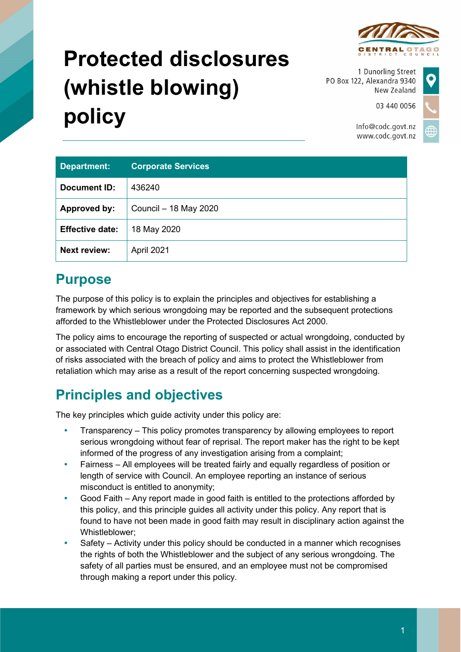

# **Protected disclosures (whistle blowing) policy**

1 Dunorling Street PO Box 122, Alexandra 9340 New Zealand

03 440 0056

Info@codc.govt.nz www.codc.govt.nz

| <b>Department:</b>     | <b>Corporate Services</b> |
|------------------------|---------------------------|
| Document ID:           | 436240                    |
| Approved by:           | Council - 18 May 2020     |
| <b>Effective date:</b> | 18 May 2020               |
| <b>Next review:</b>    | April 2021                |

# **Purpose**

The purpose of this policy is to explain the principles and objectives for establishing a framework by which serious wrongdoing may be reported and the subsequent protections afforded to the Whistleblower under the Protected Disclosures Act 2000.

The policy aims to encourage the reporting of suspected or actual wrongdoing, conducted by or associated with Central Otago District Council. This policy shall assist in the identification of risks associated with the breach of policy and aims to protect the Whistleblower from retaliation which may arise as a result of the report concerning suspected wrongdoing.

# **Principles and objectives**

The key principles which guide activity under this policy are:

- Transparency This policy promotes transparency by allowing employees to report serious wrongdoing without fear of reprisal. The report maker has the right to be kept informed of the progress of any investigation arising from a complaint;
- Fairness All employees will be treated fairly and equally regardless of position or length of service with Council. An employee reporting an instance of serious misconduct is entitled to anonymity;
- Good Faith Any report made in good faith is entitled to the protections afforded by this policy, and this principle guides all activity under this policy. Any report that is found to have not been made in good faith may result in disciplinary action against the Whistleblower;
- Safety Activity under this policy should be conducted in a manner which recognises the rights of both the Whistleblower and the subject of any serious wrongdoing. The safety of all parties must be ensured, and an employee must not be compromised through making a report under this policy.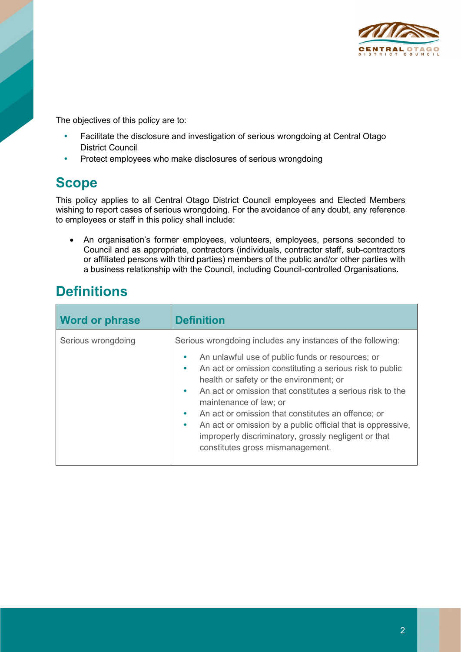

The objectives of this policy are to:

- Facilitate the disclosure and investigation of serious wrongdoing at Central Otago District Council
- Protect employees who make disclosures of serious wrongdoing

#### **Scope**

This policy applies to all Central Otago District Council employees and Elected Members wishing to report cases of serious wrongdoing. For the avoidance of any doubt, any reference to employees or staff in this policy shall include:

• An organisation's former employees, volunteers, employees, persons seconded to Council and as appropriate, contractors (individuals, contractor staff, sub-contractors or affiliated persons with third parties) members of the public and/or other parties with a business relationship with the Council, including Council-controlled Organisations.

## **Definitions**

| <b>Word or phrase</b> | <b>Definition</b>                                                                                                                                                                                                                                                                                                                                                                                                                                                                                                                                                                               |
|-----------------------|-------------------------------------------------------------------------------------------------------------------------------------------------------------------------------------------------------------------------------------------------------------------------------------------------------------------------------------------------------------------------------------------------------------------------------------------------------------------------------------------------------------------------------------------------------------------------------------------------|
| Serious wrongdoing    | Serious wrongdoing includes any instances of the following:<br>An unlawful use of public funds or resources; or<br>$\bullet$<br>An act or omission constituting a serious risk to public<br>$\bullet$<br>health or safety or the environment; or<br>An act or omission that constitutes a serious risk to the<br>$\bullet$<br>maintenance of law; or<br>An act or omission that constitutes an offence; or<br>$\bullet$<br>An act or omission by a public official that is oppressive,<br>$\bullet$<br>improperly discriminatory, grossly negligent or that<br>constitutes gross mismanagement. |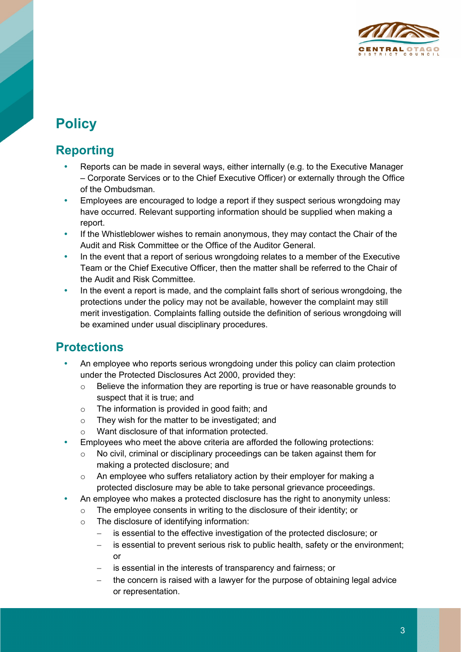

# **Policy**

### **Reporting**

- Reports can be made in several ways, either internally (e.g. to the Executive Manager – Corporate Services or to the Chief Executive Officer) or externally through the Office of the Ombudsman.
- Employees are encouraged to lodge a report if they suspect serious wrongdoing may have occurred. Relevant supporting information should be supplied when making a report.
- If the Whistleblower wishes to remain anonymous, they may contact the Chair of the Audit and Risk Committee or the Office of the Auditor General.
- In the event that a report of serious wrongdoing relates to a member of the Executive Team or the Chief Executive Officer, then the matter shall be referred to the Chair of the Audit and Risk Committee.
- In the event a report is made, and the complaint falls short of serious wrongdoing, the protections under the policy may not be available, however the complaint may still merit investigation. Complaints falling outside the definition of serious wrongdoing will be examined under usual disciplinary procedures.

#### **Protections**

- An employee who reports serious wrongdoing under this policy can claim protection under the Protected Disclosures Act 2000, provided they:
	- $\circ$  Believe the information they are reporting is true or have reasonable grounds to suspect that it is true; and
	- o The information is provided in good faith; and
	- o They wish for the matter to be investigated; and
	- o Want disclosure of that information protected.
- Employees who meet the above criteria are afforded the following protections:
	- o No civil, criminal or disciplinary proceedings can be taken against them for making a protected disclosure; and
	- o An employee who suffers retaliatory action by their employer for making a protected disclosure may be able to take personal grievance proceedings.
- An employee who makes a protected disclosure has the right to anonymity unless:
	- o The employee consents in writing to the disclosure of their identity; or
	- o The disclosure of identifying information:
		- − is essential to the effective investigation of the protected disclosure; or
		- − is essential to prevent serious risk to public health, safety or the environment; or
		- is essential in the interests of transparency and fairness; or
		- the concern is raised with a lawyer for the purpose of obtaining legal advice or representation.